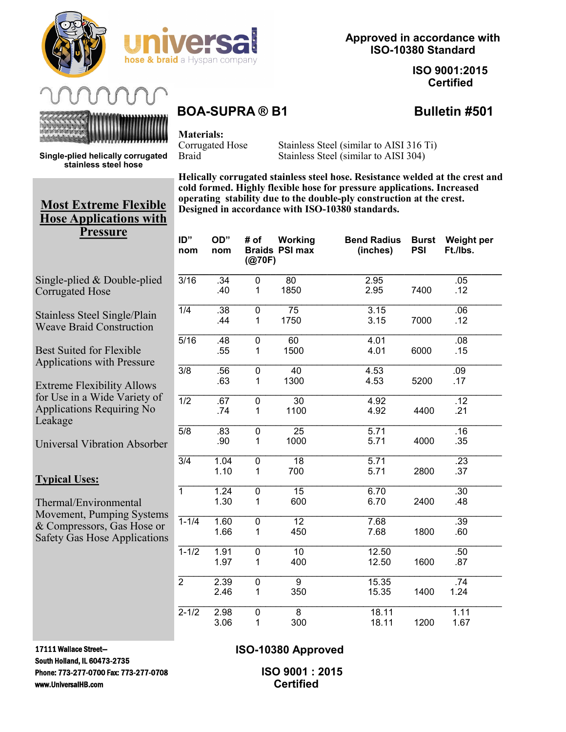



# **Approved in accordance with ISO-10380 Standard**

**ISO 9001:2015 Certified**

**Single-plied helically corrugated stainless steel hose**



**Materials:**

Corrugated Hose Stainless Steel (similar to AISI 316 Ti) Braid Stainless Steel (similar to AISI 304)

**Helically corrugated stainless steel hose. Resistance welded at the crest and cold formed. Highly flexible hose for pressure applications. Increased operating stability due to the double-ply construction at the crest. Designed in accordance with ISO-10380 standards.**

|         | ID"<br>nom       | OD"<br>nom   | (Q70F)                                    | # of Working<br><b>Braids PSI max</b> | <b>Bend Radius</b><br>(inches) | <b>Burst</b><br><b>PSI</b> | <b>Weight per</b><br>Ft./lbs. |
|---------|------------------|--------------|-------------------------------------------|---------------------------------------|--------------------------------|----------------------------|-------------------------------|
|         | 3/16             | .34<br>.40   | $\overline{0}$<br>1                       | 80<br>1850                            | 2.95<br>2.95                   | 7400                       | .05<br>.12                    |
|         | $\overline{1/4}$ | .38<br>.44   | $\overline{0}$<br>1                       | 75<br>1750                            | 3.15<br>3.15                   | 7000                       | .06<br>.12                    |
|         | $\frac{1}{5/16}$ | .48<br>.55   | 0<br>1                                    | 60<br>1500                            | 4.01<br>4.01                   | 6000                       | .08<br>.15                    |
|         | $\overline{3/8}$ | .56<br>.63   | 0<br>1                                    | 40<br>1300                            | 4.53<br>4.53                   | 5200                       | .09<br>.17                    |
|         | $\overline{1/2}$ | .67<br>.74   | 0<br>1                                    | $\overline{30}$<br>1100               | 4.92<br>4.92                   | 4400                       | $\overline{.12}$<br>.21       |
| P.      | $\overline{5/8}$ | .83<br>.90   | $\overline{0}$<br>1                       | $\overline{25}$<br>1000               | 5.71<br>5.71                   | 4000                       | .16<br>.35                    |
|         | $\overline{3/4}$ | 1.04<br>1.10 | $\overline{0}$<br>1                       | $\overline{18}$<br>700                | 5.71<br>5.71                   | 2800                       | $\overline{.23}$<br>.37       |
| ıs      | $\overline{1}$   | 1.24<br>1.30 | $\overline{\mathfrak{o}}$<br>$\mathbf{1}$ | $\overline{15}$<br>600                | 6.70<br>6.70                   | 2400                       | $\overline{.30}$<br>.48       |
| r<br>ıs | $1 - 1/4$        | 1.60<br>1.66 | $\overline{0}$<br>1                       | $\overline{12}$<br>450                | 7.68<br>7.68                   | 1800                       | .39<br>.60                    |
|         | $1 - 1/2$        | 1.91<br>1.97 | 0<br>1                                    | 10<br>400                             | 12.50<br>12.50                 | 1600                       | .50<br>.87                    |
|         | $\overline{2}$   | 2.39<br>2.46 | 0<br>1                                    | $\overline{9}$<br>350                 | 15.35<br>15.35                 | 1400                       | .74<br>1.24                   |
|         | $2 - 1/2$        | 2.98<br>3.06 | 0<br>1                                    | $\overline{8}$<br>300                 | 18.11<br>18.11                 | 1200                       | 1.11<br>1.67                  |

# **Most Extreme Flexible Hose Applications with Pressure**

Single-plied & Double-plied Corrugated Hose

Stainless Steel Single/Plain Weave Braid Construction

Best Suited for Flexible Applications with Pressure

Extreme Flexibility Allows for Use in a Wide Variety of Applications Requiring No Leakage

**Universal Vibration Absorber** 

## **Typical Uses:**

Thermal/Environmental Movement, Pumping System & Compressors, Gas Hose or Safety Gas Hose Application

17111 Wallace Street— South Holland, IL 60473-2735 Phone: 773-277-0700 Fax: 773-277-0708 www.UniversalHB.com

# **ISO-10380 Approved**

 **ISO 9001 : 2015 Certified**